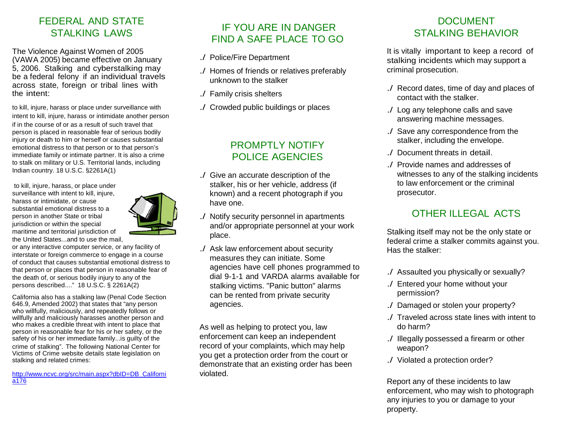#### FEDERAL AND STATE STALKING LAWS

The Violence Against Women of 2005 (VAWA 2005) became effective on January 5, 2006. Stalking and cyberstalking may be a federal felony if an individual travels across state, foreign or tribal lines with the intent:

to kill, injure, harass or place under surveillance with intent to kill, injure, harass or intimidate another person if in the course of or as a result of such travel that person is placed in reasonable fear of serious bodily injury or death to him or herself or causes substantial emotional distress to that person or to that person's immediate family or intimate partner. It is also a crime to stalk on military or U.S. Territorial lands, including Indian country. 18 U.S.C. §2261A(1)

to kill, injure, harass, or place under surveillance with intent to kill, injure, harass or intimidate, or cause substantial emotional distress to a person in another State or tribal jurisdiction or within the special maritime and territorial jurisdiction of the United States...and to use the mail,



or any interactive computer service, or any facility of interstate or foreign commerce to engage in a course of conduct that causes substantial emotional distress to that person or places that person in reasonable fear of the death of, or serious bodily injury to any of the persons described...." 18 U.S.C. § 2261A(2)

California also has a stalking law (Penal Code Section 646.9, Amended 2002) that states that "any person who willfully, maliciously, and repeatedly follows or willfully and maliciously harasses another person and who makes a credible threat with intent to place that person in reasonable fear for his or her safety, or the safety of his or her immediate family...is guilty of the crime of stalking". The following National Center for Victims of Crime website details state legislation on stalking and related crimes:

[http://www.ncvc.org/src/main.aspx?dbID=DB\\_Californi](http://www.ncvc.org/src/main.aspx?dbID=DB_California176) [a176](http://www.ncvc.org/src/main.aspx?dbID=DB_California176)

#### IF YOU ARE IN DANGER FIND A SAFE PLACE TO GO

- ./ Police/Fire Department
- ./ Homes of friends or relatives preferably unknown to the stalker
- ./ Family crisis shelters
- ./ Crowded public buildings or places

#### PROMPTLY NOTIFY POLICE AGENCIES

- ./ Give an accurate description of the stalker, his or her vehicle, address (if known) and a recent photograph if you have one.
- ./ Notify security personnel in apartments and/or appropriate personnel at your work place.
- ./ Ask law enforcement about security measures they can initiate. Some agencies have cell phones programmed to dial 9-1-1 and VARDA alarms available for stalking victims. "Panic button" alarms can be rented from private security agencies.

As well as helping to protect you, law enforcement can keep an independent record of your complaints, which may help you get a protection order from the court or demonstrate that an existing order has been violated.

## DOCUMENT STALKING BEHAVIOR

It is vitally important to keep a record of stalking incidents which may support a criminal prosecution.

- ./ Record dates, time of day and places of contact with the stalker.
- ./ Log any telephone calls and save answering machine messages.
- ./ Save any correspondence from the stalker, including the envelope.
- ./ Document threats in detail.
- ./ Provide names and addresses of witnesses to any of the stalking incidents to law enforcement or the criminal prosecutor.

## OTHER ILLEGAL ACTS

Stalking itself may not be the only state or federal crime a stalker commits against you. Has the stalker:

- ./ Assaulted you physically or sexually?
- ./ Entered your home without your permission?
- ./ Damaged or stolen your property?
- ./ Traveled across state lines with intent to do harm?
- ./ Illegally possessed a firearm or other weapon?
- ./ Violated a protection order?

Report any of these incidents to law enforcement, who may wish to photograph any injuries to you or damage to your property.